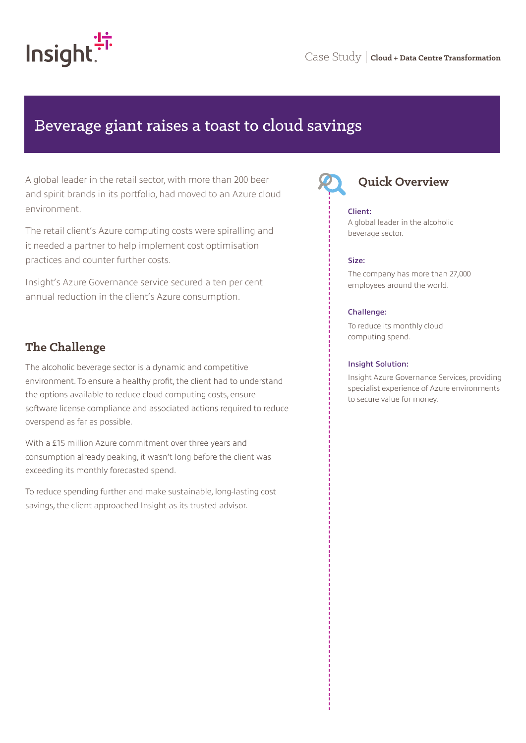

# Beverage giant raises a toast to cloud savings

A global leader in the retail sector, with more than 200 beer and spirit brands in its portfolio, had moved to an Azure cloud environment.

The retail client's Azure computing costs were spiralling and it needed a partner to help implement cost optimisation practices and counter further costs.

Insight's Azure Governance service secured a ten per cent annual reduction in the client's Azure consumption.

### **The Challenge**

The alcoholic beverage sector is a dynamic and competitive environment. To ensure a healthy profit, the client had to understand the options available to reduce cloud computing costs, ensure software license compliance and associated actions required to reduce overspend as far as possible.

With a £15 million Azure commitment over three years and consumption already peaking, it wasn't long before the client was exceeding its monthly forecasted spend.

To reduce spending further and make sustainable, long-lasting cost savings, the client approached Insight as its trusted advisor.



# **Quick Overview**

#### Client:

A global leader in the alcoholic beverage sector.

#### Size:

The company has more than 27,000 employees around the world.

#### Challenge:

To reduce its monthly cloud computing spend.

#### Insight Solution:

Insight Azure Governance Services, providing specialist experience of Azure environments to secure value for money.